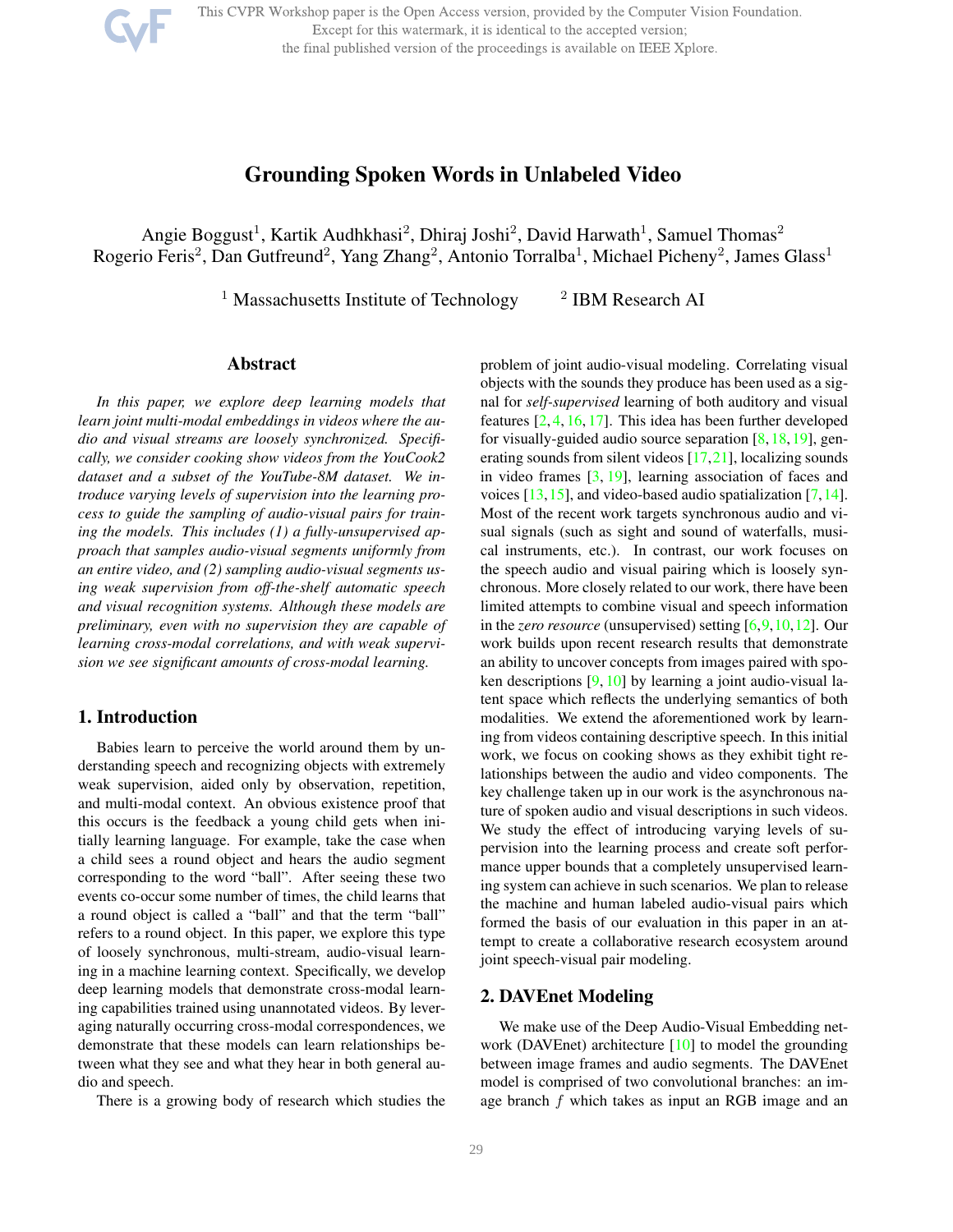This CVPR Workshop paper is the Open Access version, provided by the Computer Vision Foundation.

Except for this watermark, it is identical to the accepted version;

the final published version of the proceedings is available on IEEE Xplore.



Angie Boggust<sup>1</sup>, Kartik Audhkhasi<sup>2</sup>, Dhiraj Joshi<sup>2</sup>, David Harwath<sup>1</sup>, Samuel Thomas<sup>2</sup> Rogerio Feris<sup>2</sup>, Dan Gutfreund<sup>2</sup>, Yang Zhang<sup>2</sup>, Antonio Torralba<sup>1</sup>, Michael Picheny<sup>2</sup>, James Glass<sup>1</sup>

> <sup>1</sup> Massachusetts Institute of Technology <sup>2</sup> IBM Research AI

### Abstract

*In this paper, we explore deep learning models that learn joint multi-modal embeddings in videos where the audio and visual streams are loosely synchronized. Specifically, we consider cooking show videos from the YouCook2 dataset and a subset of the YouTube-8M dataset. We introduce varying levels of supervision into the learning process to guide the sampling of audio-visual pairs for training the models. This includes (1) a fully-unsupervised approach that samples audio-visual segments uniformly from an entire video, and (2) sampling audio-visual segments using weak supervision from off-the-shelf automatic speech and visual recognition systems. Although these models are preliminary, even with no supervision they are capable of learning cross-modal correlations, and with weak supervision we see significant amounts of cross-modal learning.*

### 1. Introduction

Babies learn to perceive the world around them by understanding speech and recognizing objects with extremely weak supervision, aided only by observation, repetition, and multi-modal context. An obvious existence proof that this occurs is the feedback a young child gets when initially learning language. For example, take the case when a child sees a round object and hears the audio segment corresponding to the word "ball". After seeing these two events co-occur some number of times, the child learns that a round object is called a "ball" and that the term "ball" refers to a round object. In this paper, we explore this type of loosely synchronous, multi-stream, audio-visual learning in a machine learning context. Specifically, we develop deep learning models that demonstrate cross-modal learning capabilities trained using unannotated videos. By leveraging naturally occurring cross-modal correspondences, we demonstrate that these models can learn relationships between what they see and what they hear in both general audio and speech.

There is a growing body of research which studies the

problem of joint audio-visual modeling. Correlating visual objects with the sounds they produce has been used as a signal for *self-supervised* learning of both auditory and visual features [2, 4, 16, 17]. This idea has been further developed for visually-guided audio source separation  $[8,18,19]$ , generating sounds from silent videos [17,21], localizing sounds in video frames [3, 19], learning association of faces and voices  $[13, 15]$ , and video-based audio spatialization  $[7, 14]$ . Most of the recent work targets synchronous audio and visual signals (such as sight and sound of waterfalls, musical instruments, etc.). In contrast, our work focuses on the speech audio and visual pairing which is loosely synchronous. More closely related to our work, there have been limited attempts to combine visual and speech information in the *zero resource* (unsupervised) setting [6,9,10,12]. Our work builds upon recent research results that demonstrate an ability to uncover concepts from images paired with spoken descriptions  $[9, 10]$  by learning a joint audio-visual latent space which reflects the underlying semantics of both modalities. We extend the aforementioned work by learning from videos containing descriptive speech. In this initial work, we focus on cooking shows as they exhibit tight relationships between the audio and video components. The key challenge taken up in our work is the asynchronous nature of spoken audio and visual descriptions in such videos. We study the effect of introducing varying levels of supervision into the learning process and create soft performance upper bounds that a completely unsupervised learning system can achieve in such scenarios. We plan to release the machine and human labeled audio-visual pairs which formed the basis of our evaluation in this paper in an attempt to create a collaborative research ecosystem around joint speech-visual pair modeling.

# 2. DAVEnet Modeling

We make use of the Deep Audio-Visual Embedding network (DAVEnet) architecture [10] to model the grounding between image frames and audio segments. The DAVEnet model is comprised of two convolutional branches: an image branch f which takes as input an RGB image and an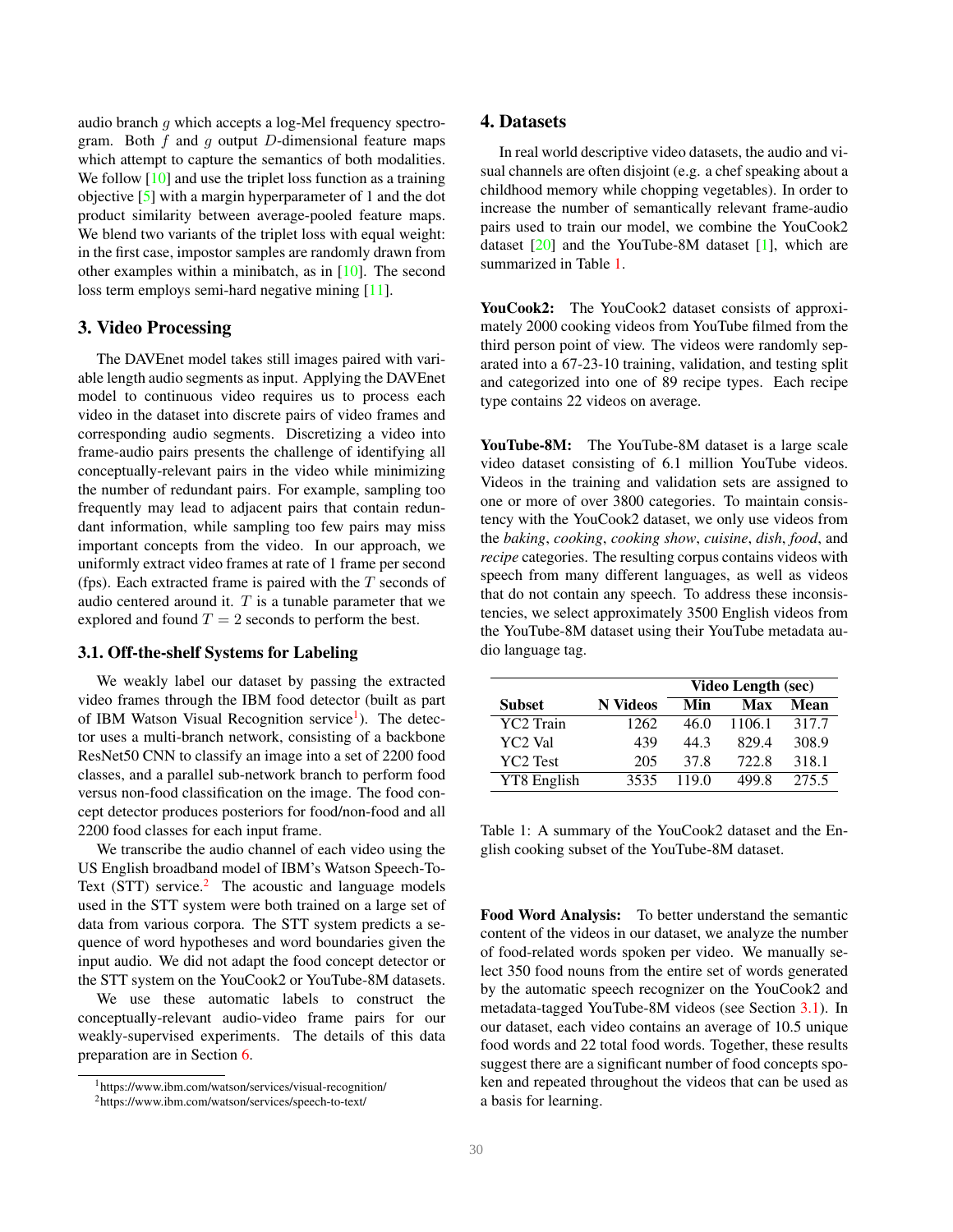audio branch g which accepts a log-Mel frequency spectrogram. Both  $f$  and  $g$  output  $D$ -dimensional feature maps which attempt to capture the semantics of both modalities. We follow [10] and use the triplet loss function as a training objective [5] with a margin hyperparameter of 1 and the dot product similarity between average-pooled feature maps. We blend two variants of the triplet loss with equal weight: in the first case, impostor samples are randomly drawn from other examples within a minibatch, as in [10]. The second loss term employs semi-hard negative mining [11].

### 3. Video Processing

The DAVEnet model takes still images paired with variable length audio segments as input. Applying the DAVEnet model to continuous video requires us to process each video in the dataset into discrete pairs of video frames and corresponding audio segments. Discretizing a video into frame-audio pairs presents the challenge of identifying all conceptually-relevant pairs in the video while minimizing the number of redundant pairs. For example, sampling too frequently may lead to adjacent pairs that contain redundant information, while sampling too few pairs may miss important concepts from the video. In our approach, we uniformly extract video frames at rate of 1 frame per second (fps). Each extracted frame is paired with the  $T$  seconds of audio centered around it.  $T$  is a tunable parameter that we explored and found  $T = 2$  seconds to perform the best.

#### 3.1. Off-the-shelf Systems for Labeling

We weakly label our dataset by passing the extracted video frames through the IBM food detector (built as part of IBM Watson Visual Recognition service<sup>1</sup>). The detector uses a multi-branch network, consisting of a backbone ResNet50 CNN to classify an image into a set of 2200 food classes, and a parallel sub-network branch to perform food versus non-food classification on the image. The food concept detector produces posteriors for food/non-food and all 2200 food classes for each input frame.

We transcribe the audio channel of each video using the US English broadband model of IBM's Watson Speech-To-Text  $(STT)$  service.<sup>2</sup> The acoustic and language models used in the STT system were both trained on a large set of data from various corpora. The STT system predicts a sequence of word hypotheses and word boundaries given the input audio. We did not adapt the food concept detector or the STT system on the YouCook2 or YouTube-8M datasets.

We use these automatic labels to construct the conceptually-relevant audio-video frame pairs for our weakly-supervised experiments. The details of this data preparation are in Section 6.

#### 4. Datasets

In real world descriptive video datasets, the audio and visual channels are often disjoint (e.g. a chef speaking about a childhood memory while chopping vegetables). In order to increase the number of semantically relevant frame-audio pairs used to train our model, we combine the YouCook2 dataset  $[20]$  and the YouTube-8M dataset  $[1]$ , which are summarized in Table 1.

YouCook2: The YouCook2 dataset consists of approximately 2000 cooking videos from YouTube filmed from the third person point of view. The videos were randomly separated into a 67-23-10 training, validation, and testing split and categorized into one of 89 recipe types. Each recipe type contains 22 videos on average.

YouTube-8M: The YouTube-8M dataset is a large scale video dataset consisting of 6.1 million YouTube videos. Videos in the training and validation sets are assigned to one or more of over 3800 categories. To maintain consistency with the YouCook2 dataset, we only use videos from the *baking*, *cooking*, *cooking show*, *cuisine*, *dish*, *food*, and *recipe* categories. The resulting corpus contains videos with speech from many different languages, as well as videos that do not contain any speech. To address these inconsistencies, we select approximately 3500 English videos from the YouTube-8M dataset using their YouTube metadata audio language tag.

|                 |                 | <b>Video Length (sec)</b> |        |       |
|-----------------|-----------------|---------------------------|--------|-------|
| <b>Subset</b>   | <b>N</b> Videos | Min                       | Max    | Mean  |
| YC2 Train       | 1262            | 46.0                      | 1106.1 | 317.7 |
| YC2 Val         | 439             | 44.3                      | 829.4  | 308.9 |
| <b>YC2 Test</b> | 205             | 37.8                      | 722.8  | 318.1 |
| YT8 English     | 3535            | 119.0                     | 499.8  | 275.5 |

Table 1: A summary of the YouCook2 dataset and the English cooking subset of the YouTube-8M dataset.

Food Word Analysis: To better understand the semantic content of the videos in our dataset, we analyze the number of food-related words spoken per video. We manually select 350 food nouns from the entire set of words generated by the automatic speech recognizer on the YouCook2 and metadata-tagged YouTube-8M videos (see Section 3.1). In our dataset, each video contains an average of 10.5 unique food words and 22 total food words. Together, these results suggest there are a significant number of food concepts spoken and repeated throughout the videos that can be used as a basis for learning.

<sup>1</sup>https://www.ibm.com/watson/services/visual-recognition/

<sup>2</sup>https://www.ibm.com/watson/services/speech-to-text/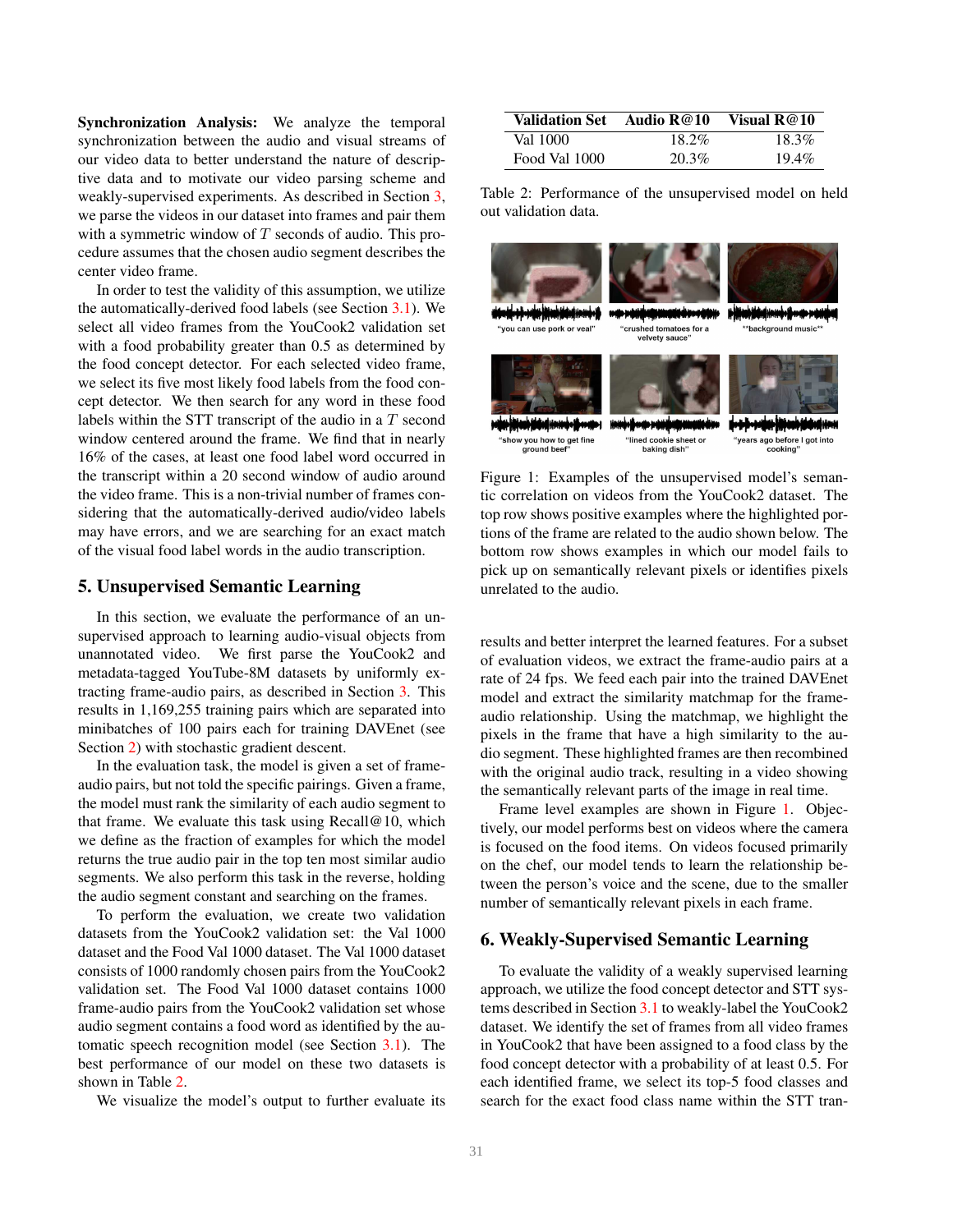Synchronization Analysis: We analyze the temporal synchronization between the audio and visual streams of our video data to better understand the nature of descriptive data and to motivate our video parsing scheme and weakly-supervised experiments. As described in Section 3, we parse the videos in our dataset into frames and pair them with a symmetric window of  $T$  seconds of audio. This procedure assumes that the chosen audio segment describes the center video frame.

In order to test the validity of this assumption, we utilize the automatically-derived food labels (see Section 3.1). We select all video frames from the YouCook2 validation set with a food probability greater than 0.5 as determined by the food concept detector. For each selected video frame, we select its five most likely food labels from the food concept detector. We then search for any word in these food labels within the STT transcript of the audio in a T second window centered around the frame. We find that in nearly 16% of the cases, at least one food label word occurred in the transcript within a 20 second window of audio around the video frame. This is a non-trivial number of frames considering that the automatically-derived audio/video labels may have errors, and we are searching for an exact match of the visual food label words in the audio transcription.

### 5. Unsupervised Semantic Learning

In this section, we evaluate the performance of an unsupervised approach to learning audio-visual objects from unannotated video. We first parse the YouCook2 and metadata-tagged YouTube-8M datasets by uniformly extracting frame-audio pairs, as described in Section 3. This results in 1,169,255 training pairs which are separated into minibatches of 100 pairs each for training DAVEnet (see Section 2) with stochastic gradient descent.

In the evaluation task, the model is given a set of frameaudio pairs, but not told the specific pairings. Given a frame, the model must rank the similarity of each audio segment to that frame. We evaluate this task using Recall@10, which we define as the fraction of examples for which the model returns the true audio pair in the top ten most similar audio segments. We also perform this task in the reverse, holding the audio segment constant and searching on the frames.

To perform the evaluation, we create two validation datasets from the YouCook2 validation set: the Val 1000 dataset and the Food Val 1000 dataset. The Val 1000 dataset consists of 1000 randomly chosen pairs from the YouCook2 validation set. The Food Val 1000 dataset contains 1000 frame-audio pairs from the YouCook2 validation set whose audio segment contains a food word as identified by the automatic speech recognition model (see Section 3.1). The best performance of our model on these two datasets is shown in Table 2.

We visualize the model's output to further evaluate its

| <b>Validation Set</b> | Audio R@10 | Visual $R@10$ |
|-----------------------|------------|---------------|
| Val 1000-             | 18.2%      | 18.3%         |
| Food Val 1000         | 20.3%      | $19.4\%$      |

Table 2: Performance of the unsupervised model on held out validation data.



Figure 1: Examples of the unsupervised model's semantic correlation on videos from the YouCook2 dataset. The top row shows positive examples where the highlighted portions of the frame are related to the audio shown below. The bottom row shows examples in which our model fails to pick up on semantically relevant pixels or identifies pixels unrelated to the audio.

results and better interpret the learned features. For a subset of evaluation videos, we extract the frame-audio pairs at a rate of 24 fps. We feed each pair into the trained DAVEnet model and extract the similarity matchmap for the frameaudio relationship. Using the matchmap, we highlight the pixels in the frame that have a high similarity to the audio segment. These highlighted frames are then recombined with the original audio track, resulting in a video showing the semantically relevant parts of the image in real time.

Frame level examples are shown in Figure 1. Objectively, our model performs best on videos where the camera is focused on the food items. On videos focused primarily on the chef, our model tends to learn the relationship between the person's voice and the scene, due to the smaller number of semantically relevant pixels in each frame.

# 6. Weakly-Supervised Semantic Learning

To evaluate the validity of a weakly supervised learning approach, we utilize the food concept detector and STT systems described in Section 3.1 to weakly-label the YouCook2 dataset. We identify the set of frames from all video frames in YouCook2 that have been assigned to a food class by the food concept detector with a probability of at least 0.5. For each identified frame, we select its top-5 food classes and search for the exact food class name within the STT tran-